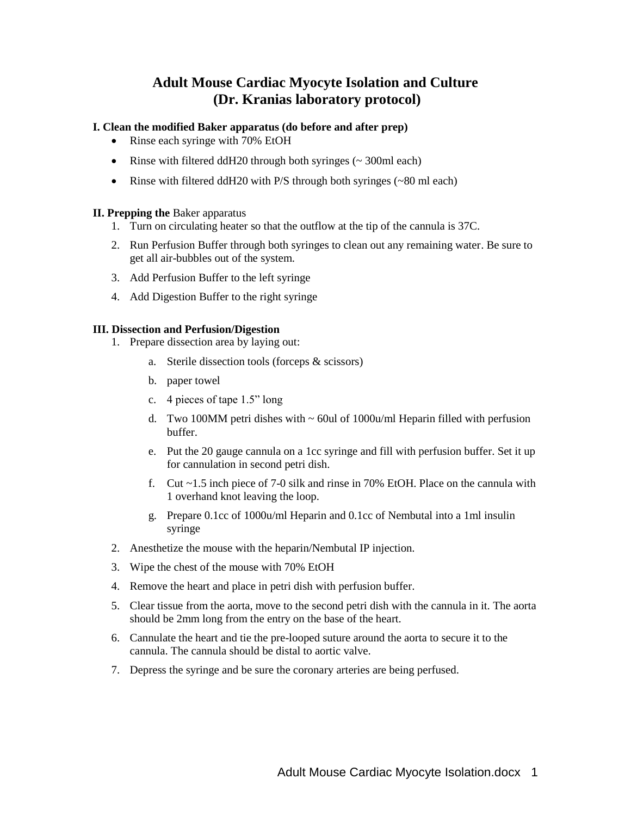# **Adult Mouse Cardiac Myocyte Isolation and Culture (Dr. Kranias laboratory protocol)**

# **I. Clean the modified Baker apparatus (do before and after prep)**

- Rinse each syringe with 70% EtOH
- Rinse with filtered ddH20 through both syringes  $(\sim 300 \text{ml} \text{ each})$
- Rinse with filtered ddH20 with P/S through both syringes (~80 ml each)

## **II. Prepping the** Baker apparatus

- 1. Turn on circulating heater so that the outflow at the tip of the cannula is 37C.
- 2. Run Perfusion Buffer through both syringes to clean out any remaining water. Be sure to get all air-bubbles out of the system.
- 3. Add Perfusion Buffer to the left syringe
- 4. Add Digestion Buffer to the right syringe

## **III. Dissection and Perfusion/Digestion**

- 1. Prepare dissection area by laying out:
	- a. Sterile dissection tools (forceps & scissors)
	- b. paper towel
	- c. 4 pieces of tape 1.5" long
	- d. Two 100MM petri dishes with  $\sim 60$ ul of 1000u/ml Heparin filled with perfusion buffer.
	- e. Put the 20 gauge cannula on a 1cc syringe and fill with perfusion buffer. Set it up for cannulation in second petri dish.
	- f. Cut  $\sim$  1.5 inch piece of 7-0 silk and rinse in 70% EtOH. Place on the cannula with 1 overhand knot leaving the loop.
	- g. Prepare 0.1cc of 1000u/ml Heparin and 0.1cc of Nembutal into a 1ml insulin syringe
- 2. Anesthetize the mouse with the heparin/Nembutal IP injection.
- 3. Wipe the chest of the mouse with 70% EtOH
- 4. Remove the heart and place in petri dish with perfusion buffer.
- 5. Clear tissue from the aorta, move to the second petri dish with the cannula in it. The aorta should be 2mm long from the entry on the base of the heart.
- 6. Cannulate the heart and tie the pre-looped suture around the aorta to secure it to the cannula. The cannula should be distal to aortic valve.
- 7. Depress the syringe and be sure the coronary arteries are being perfused.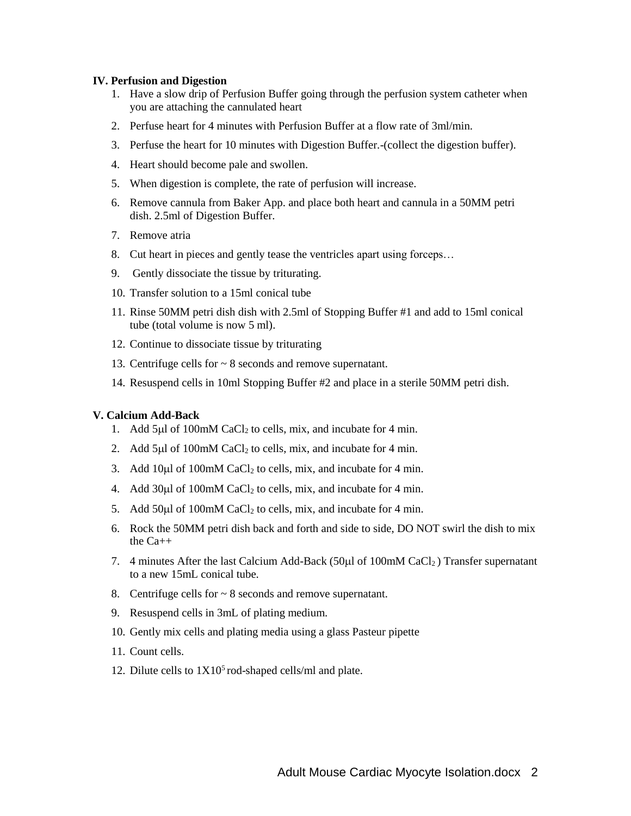#### **IV. Perfusion and Digestion**

- 1. Have a slow drip of Perfusion Buffer going through the perfusion system catheter when you are attaching the cannulated heart
- 2. Perfuse heart for 4 minutes with Perfusion Buffer at a flow rate of 3ml/min.
- 3. Perfuse the heart for 10 minutes with Digestion Buffer.-(collect the digestion buffer).
- 4. Heart should become pale and swollen.
- 5. When digestion is complete, the rate of perfusion will increase.
- 6. Remove cannula from Baker App. and place both heart and cannula in a 50MM petri dish. 2.5ml of Digestion Buffer.
- 7. Remove atria
- 8. Cut heart in pieces and gently tease the ventricles apart using forceps…
- 9. Gently dissociate the tissue by triturating.
- 10. Transfer solution to a 15ml conical tube
- 11. Rinse 50MM petri dish dish with 2.5ml of Stopping Buffer #1 and add to 15ml conical tube (total volume is now 5 ml).
- 12. Continue to dissociate tissue by triturating
- 13. Centrifuge cells for ~ 8 seconds and remove supernatant.
- 14. Resuspend cells in 10ml Stopping Buffer #2 and place in a sterile 50MM petri dish.

#### **V. Calcium Add-Back**

- 1. Add 5 $\mu$ l of 100mM CaCl<sub>2</sub> to cells, mix, and incubate for 4 min.
- 2. Add 5 $\mu$ l of 100mM CaCl<sub>2</sub> to cells, mix, and incubate for 4 min.
- 3. Add 10µl of 100mM CaCl<sub>2</sub> to cells, mix, and incubate for 4 min.
- 4. Add  $30\mu$ l of  $100$ mM CaCl<sub>2</sub> to cells, mix, and incubate for 4 min.
- 5. Add 50µl of 100mM CaCl<sub>2</sub> to cells, mix, and incubate for 4 min.
- 6. Rock the 50MM petri dish back and forth and side to side, DO NOT swirl the dish to mix the  $Ca++$
- 7. 4 minutes After the last Calcium Add-Back (50 $\mu$ l of 100mM CaCl<sub>2</sub>) Transfer supernatant to a new 15mL conical tube.
- 8. Centrifuge cells for  $\sim$  8 seconds and remove supernatant.
- 9. Resuspend cells in 3mL of plating medium.
- 10. Gently mix cells and plating media using a glass Pasteur pipette
- 11. Count cells.
- 12. Dilute cells to  $1X10<sup>5</sup>$  rod-shaped cells/ml and plate.